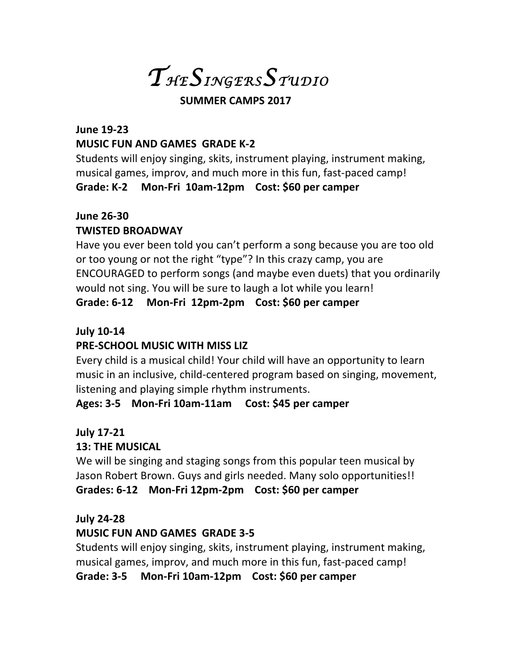*T HESINGERSS TUDIO* 

#### **SUMMER CAMPS 2017**

# **June 19-23 MUSIC FUN AND GAMES GRADE K-2**

Students will enjoy singing, skits, instrument playing, instrument making, musical games, improv, and much more in this fun, fast-paced camp! Grade: K-2 Mon-Fri 10am-12pm Cost: \$60 per camper

### **June 26-30**

### **TWISTED BROADWAY**

Have you ever been told you can't perform a song because you are too old or too young or not the right "type"? In this crazy camp, you are ENCOURAGED to perform songs (and maybe even duets) that you ordinarily would not sing. You will be sure to laugh a lot while you learn!

# Grade: 6-12 Mon-Fri 12pm-2pm Cost: \$60 per camper

### **July 10-14**

# **PRE-SCHOOL MUSIC WITH MISS LIZ**

Every child is a musical child! Your child will have an opportunity to learn music in an inclusive, child-centered program based on singing, movement, listening and playing simple rhythm instruments.

### Ages: 3-5 Mon-Fri 10am-11am Cost: \$45 per camper

### **July 17-21**

### **13: THE MUSICAL**

We will be singing and staging songs from this popular teen musical by Jason Robert Brown. Guys and girls needed. Many solo opportunities!! Grades: 6-12 Mon-Fri 12pm-2pm Cost: \$60 per camper

### **July 24-28**

### **MUSIC FUN AND GAMES GRADE 3-5**

Students will enjoy singing, skits, instrument playing, instrument making, musical games, improv, and much more in this fun, fast-paced camp!

Grade: 3-5 Mon-Fri 10am-12pm Cost: \$60 per camper